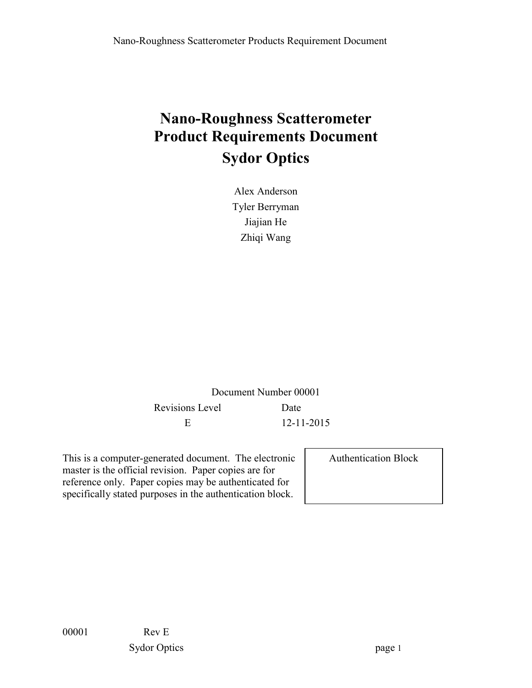# **Nano-Roughness Scatterometer Product Requirements Document Sydor Optics**

Alex Anderson Tyler Berryman Jiajian He Zhiqi Wang

Document Number 00001 Revisions Level Date E 12-11-2015

This is a computer-generated document. The electronic master is the official revision. Paper copies are for reference only. Paper copies may be authenticated for specifically stated purposes in the authentication block.

Authentication Block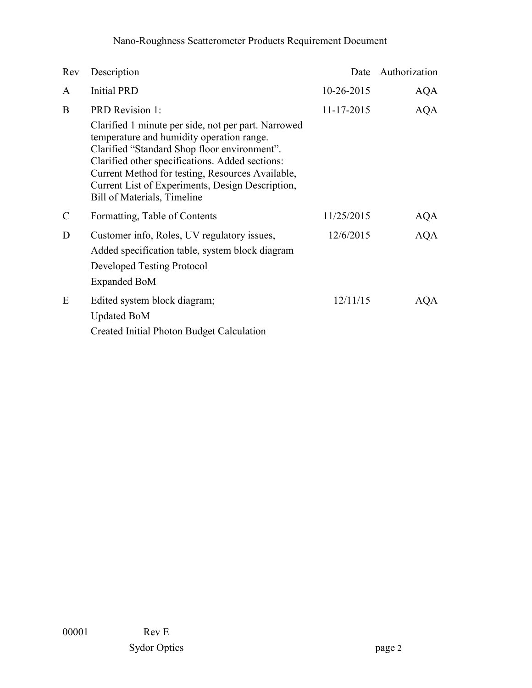# Nano-Roughness Scatterometer Products Requirement Document

| Rev           | Description                                                                                                                                                                                                                                                                                                                                | Date       | Authorization |
|---------------|--------------------------------------------------------------------------------------------------------------------------------------------------------------------------------------------------------------------------------------------------------------------------------------------------------------------------------------------|------------|---------------|
| A             | <b>Initial PRD</b>                                                                                                                                                                                                                                                                                                                         | 10-26-2015 | AQA           |
| B             | <b>PRD</b> Revision 1:                                                                                                                                                                                                                                                                                                                     | 11-17-2015 | <b>AQA</b>    |
|               | Clarified 1 minute per side, not per part. Narrowed<br>temperature and humidity operation range.<br>Clarified "Standard Shop floor environment".<br>Clarified other specifications. Added sections:<br>Current Method for testing, Resources Available,<br>Current List of Experiments, Design Description,<br>Bill of Materials, Timeline |            |               |
| $\mathcal{C}$ | Formatting, Table of Contents                                                                                                                                                                                                                                                                                                              | 11/25/2015 | AQA           |
| D             | Customer info, Roles, UV regulatory issues,                                                                                                                                                                                                                                                                                                | 12/6/2015  | <b>AQA</b>    |
|               | Added specification table, system block diagram<br>Developed Testing Protocol<br>Expanded BoM                                                                                                                                                                                                                                              |            |               |
| E             | Edited system block diagram;<br><b>Updated BoM</b>                                                                                                                                                                                                                                                                                         | 12/11/15   | AQA           |
|               | Created Initial Photon Budget Calculation                                                                                                                                                                                                                                                                                                  |            |               |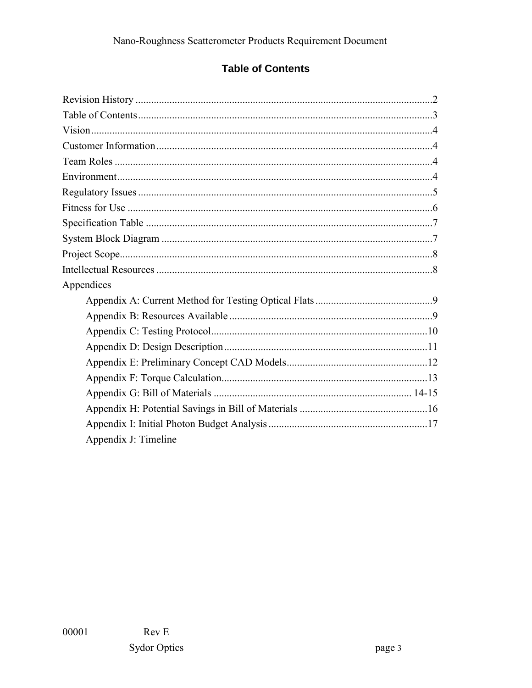## **Table of Contents**

| Appendices           |  |  |  |
|----------------------|--|--|--|
|                      |  |  |  |
|                      |  |  |  |
|                      |  |  |  |
|                      |  |  |  |
|                      |  |  |  |
|                      |  |  |  |
|                      |  |  |  |
|                      |  |  |  |
|                      |  |  |  |
| Appendix J: Timeline |  |  |  |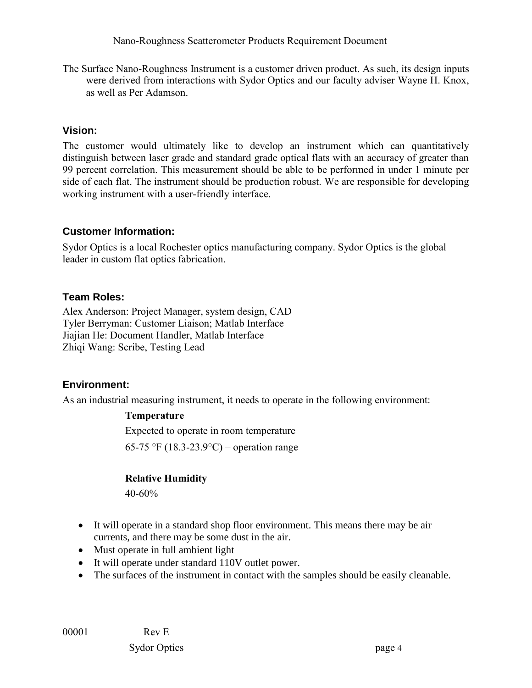Nano-Roughness Scatterometer Products Requirement Document

The Surface Nano-Roughness Instrument is a customer driven product. As such, its design inputs were derived from interactions with Sydor Optics and our faculty adviser Wayne H. Knox, as well as Per Adamson.

#### **Vision:**

The customer would ultimately like to develop an instrument which can quantitatively distinguish between laser grade and standard grade optical flats with an accuracy of greater than 99 percent correlation. This measurement should be able to be performed in under 1 minute per side of each flat. The instrument should be production robust. We are responsible for developing working instrument with a user-friendly interface.

#### **Customer Information:**

Sydor Optics is a local Rochester optics manufacturing company. Sydor Optics is the global leader in custom flat optics fabrication.

#### **Team Roles:**

Alex Anderson: Project Manager, system design, CAD Tyler Berryman: Customer Liaison; Matlab Interface Jiajian He: Document Handler, Matlab Interface Zhiqi Wang: Scribe, Testing Lead

#### **Environment:**

As an industrial measuring instrument, it needs to operate in the following environment:

#### **Temperature**

Expected to operate in room temperature 65-75 °F (18.3-23.9°C) – operation range

#### **Relative Humidity**

40-60%

- It will operate in a standard shop floor environment. This means there may be air currents, and there may be some dust in the air.
- Must operate in full ambient light
- It will operate under standard 110V outlet power.
- The surfaces of the instrument in contact with the samples should be easily cleanable.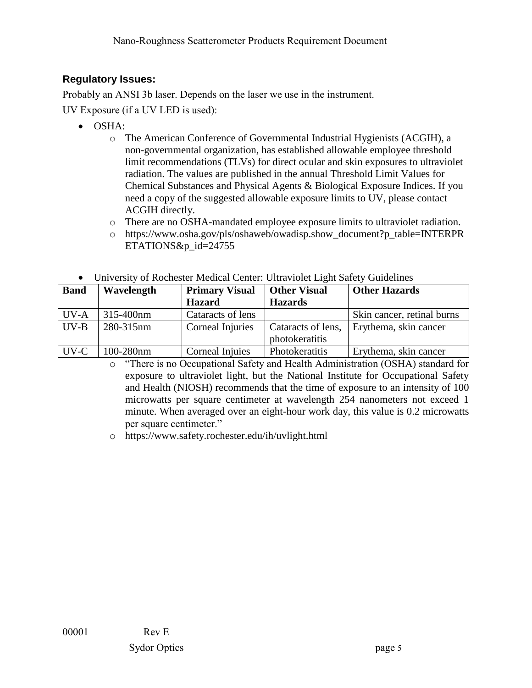## **Regulatory Issues:**

Probably an ANSI 3b laser. Depends on the laser we use in the instrument.

UV Exposure (if a UV LED is used):

- OSHA:
	- o The American Conference of Governmental Industrial Hygienists (ACGIH), a non-governmental organization, has established allowable employee threshold limit recommendations (TLVs) for direct ocular and skin exposures to ultraviolet radiation. The values are published in the annual Threshold Limit Values for Chemical Substances and Physical Agents & Biological Exposure Indices. If you need a copy of the suggested allowable exposure limits to UV, please contact ACGIH directly.
	- o There are no OSHA-mandated employee exposure limits to ultraviolet radiation.
	- o [https://www.osha.gov/pls/oshaweb/owadisp.show\\_document?p\\_table=INTERPR](https://www.osha.gov/pls/oshaweb/owadisp.show_document?p_table=INTERPRETATIONS&p_id=24755) [ETATIONS&p\\_id=24755](https://www.osha.gov/pls/oshaweb/owadisp.show_document?p_table=INTERPRETATIONS&p_id=24755)

|  |  |  | University of Rochester Medical Center: Ultraviolet Light Safety Guidelines |  |
|--|--|--|-----------------------------------------------------------------------------|--|
|  |  |  |                                                                             |  |

| <b>Band</b> | Wavelength | <b>Primary Visual</b> | <b>Other Visual</b>   | <b>Other Hazards</b>       |
|-------------|------------|-----------------------|-----------------------|----------------------------|
|             |            | <b>Hazard</b>         | <b>Hazards</b>        |                            |
| UV-A        | 315-400nm  | Cataracts of lens     |                       | Skin cancer, retinal burns |
| $UV-B$      | 280-315nm  | Corneal Injuries      | Cataracts of lens,    | Erythema, skin cancer      |
|             |            |                       | photokeratitis        |                            |
| UV-C        | 100-280nm  | Corneal Injuies       | <b>Photokeratitis</b> | Erythema, skin cancer      |

o "There is no Occupational Safety and Health Administration (OSHA) standard for exposure to ultraviolet light, but the National Institute for Occupational Safety and Health (NIOSH) recommends that the time of exposure to an intensity of 100 microwatts per square centimeter at wavelength 254 nanometers not exceed 1 minute. When averaged over an eight-hour work day, this value is 0.2 microwatts per square centimeter."

o <https://www.safety.rochester.edu/ih/uvlight.html>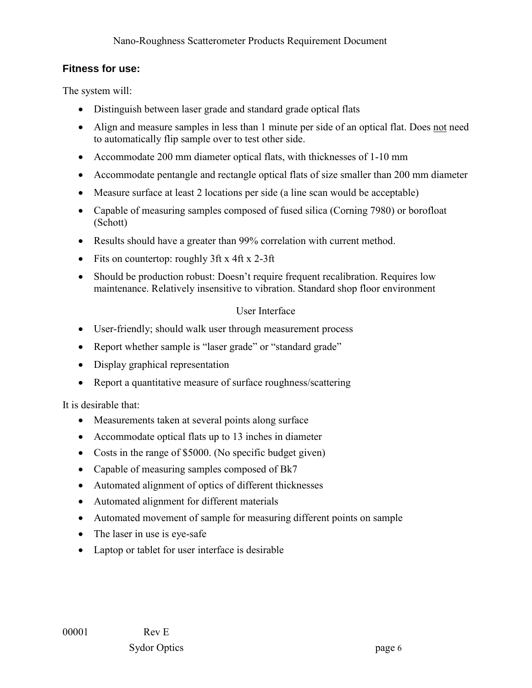#### **Fitness for use:**

The system will:

- Distinguish between laser grade and standard grade optical flats
- Align and measure samples in less than 1 minute per side of an optical flat. Does not need to automatically flip sample over to test other side.
- Accommodate 200 mm diameter optical flats, with thicknesses of 1-10 mm
- Accommodate pentangle and rectangle optical flats of size smaller than 200 mm diameter
- Measure surface at least 2 locations per side (a line scan would be acceptable)
- Capable of measuring samples composed of fused silica (Corning 7980) or borofloat (Schott)
- Results should have a greater than 99% correlation with current method.
- Fits on countertop: roughly 3ft x 4ft x 2-3ft
- Should be production robust: Doesn't require frequent recalibration. Requires low maintenance. Relatively insensitive to vibration. Standard shop floor environment

#### User Interface

- User-friendly; should walk user through measurement process
- Report whether sample is "laser grade" or "standard grade"
- Display graphical representation
- Report a quantitative measure of surface roughness/scattering

It is desirable that:

- Measurements taken at several points along surface
- Accommodate optical flats up to 13 inches in diameter
- Costs in the range of \$5000. (No specific budget given)
- Capable of measuring samples composed of Bk7
- Automated alignment of optics of different thicknesses
- Automated alignment for different materials
- Automated movement of sample for measuring different points on sample
- The laser in use is eye-safe
- Laptop or tablet for user interface is desirable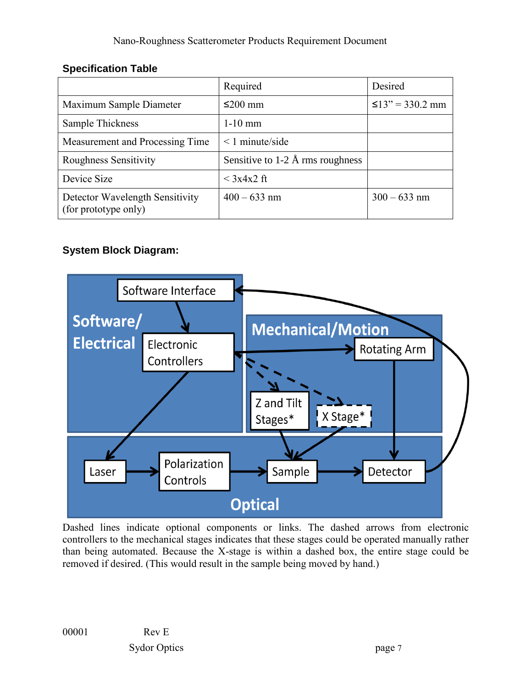## **Specification Table**

|                                                         | Required                           | Desired               |
|---------------------------------------------------------|------------------------------------|-----------------------|
| Maximum Sample Diameter                                 | $≤200$ mm                          | $\leq$ 13" = 330.2 mm |
| Sample Thickness                                        | $1-10$ mm                          |                       |
| Measurement and Processing Time                         | $\leq$ 1 minute/side               |                       |
| Roughness Sensitivity                                   | Sensitive to $1-2$ Å rms roughness |                       |
| Device Size                                             | $\langle 3x4x2 \text{ ft} \rangle$ |                       |
| Detector Wavelength Sensitivity<br>(for prototype only) | $400 - 633$ nm                     | $300 - 633$ nm        |

## **System Block Diagram:**



Dashed lines indicate optional components or links. The dashed arrows from electronic controllers to the mechanical stages indicates that these stages could be operated manually rather than being automated. Because the X-stage is within a dashed box, the entire stage could be removed if desired. (This would result in the sample being moved by hand.)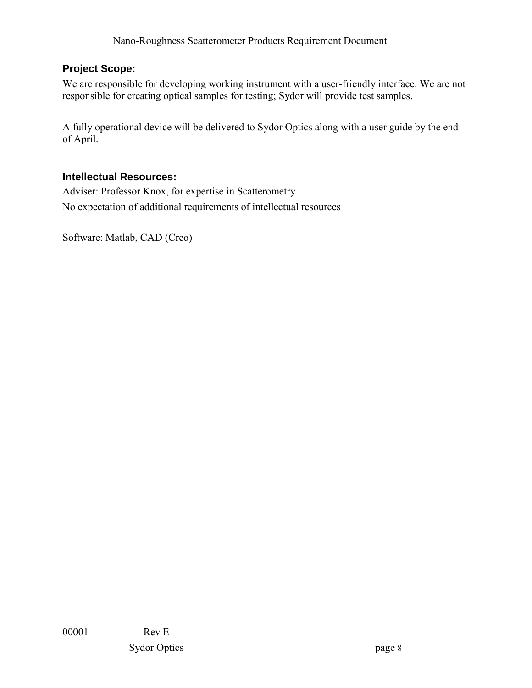## **Project Scope:**

We are responsible for developing working instrument with a user-friendly interface. We are not responsible for creating optical samples for testing; Sydor will provide test samples.

A fully operational device will be delivered to Sydor Optics along with a user guide by the end of April.

#### **Intellectual Resources:**

Adviser: Professor Knox, for expertise in Scatterometry No expectation of additional requirements of intellectual resources

Software: Matlab, CAD (Creo)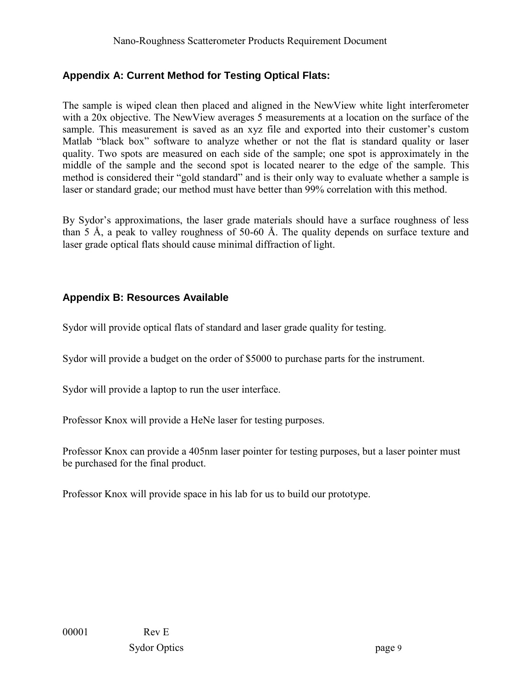## **Appendix A: Current Method for Testing Optical Flats:**

The sample is wiped clean then placed and aligned in the NewView white light interferometer with a 20x objective. The NewView averages 5 measurements at a location on the surface of the sample. This measurement is saved as an xyz file and exported into their customer's custom Matlab "black box" software to analyze whether or not the flat is standard quality or laser quality. Two spots are measured on each side of the sample; one spot is approximately in the middle of the sample and the second spot is located nearer to the edge of the sample. This method is considered their "gold standard" and is their only way to evaluate whether a sample is laser or standard grade; our method must have better than 99% correlation with this method.

By Sydor's approximations, the laser grade materials should have a surface roughness of less than 5 Å, a peak to valley roughness of 50-60 Å. The quality depends on surface texture and laser grade optical flats should cause minimal diffraction of light.

## **Appendix B: Resources Available**

Sydor will provide optical flats of standard and laser grade quality for testing.

Sydor will provide a budget on the order of \$5000 to purchase parts for the instrument.

Sydor will provide a laptop to run the user interface.

Professor Knox will provide a HeNe laser for testing purposes.

Professor Knox can provide a 405nm laser pointer for testing purposes, but a laser pointer must be purchased for the final product.

Professor Knox will provide space in his lab for us to build our prototype.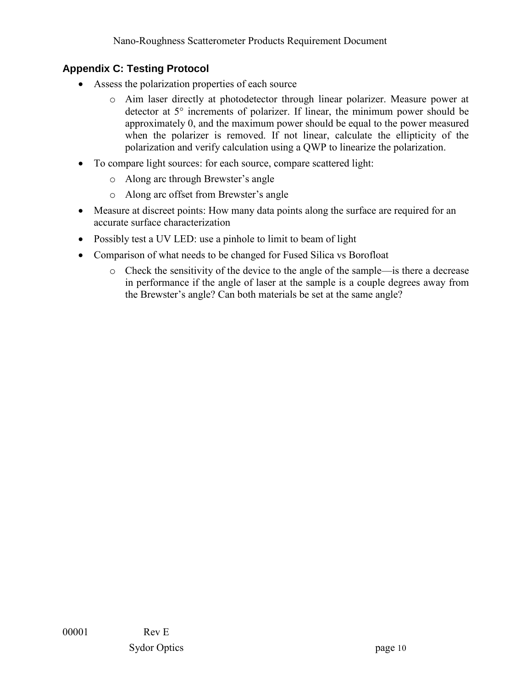## **Appendix C: Testing Protocol**

- Assess the polarization properties of each source
	- o Aim laser directly at photodetector through linear polarizer. Measure power at detector at 5° increments of polarizer. If linear, the minimum power should be approximately 0, and the maximum power should be equal to the power measured when the polarizer is removed. If not linear, calculate the ellipticity of the polarization and verify calculation using a QWP to linearize the polarization.
- To compare light sources: for each source, compare scattered light:
	- o Along arc through Brewster's angle
	- o Along arc offset from Brewster's angle
- Measure at discreet points: How many data points along the surface are required for an accurate surface characterization
- Possibly test a UV LED: use a pinhole to limit to beam of light
- Comparison of what needs to be changed for Fused Silica vs Borofloat
	- o Check the sensitivity of the device to the angle of the sample—is there a decrease in performance if the angle of laser at the sample is a couple degrees away from the Brewster's angle? Can both materials be set at the same angle?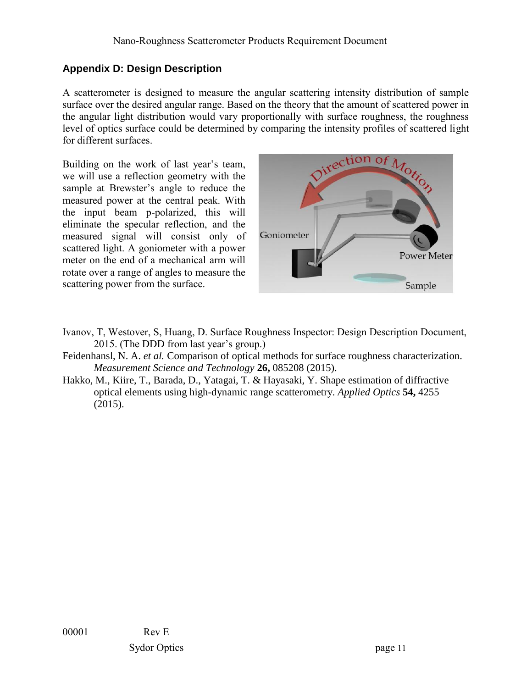## **Appendix D: Design Description**

A scatterometer is designed to measure the angular scattering intensity distribution of sample surface over the desired angular range. Based on the theory that the amount of scattered power in the angular light distribution would vary proportionally with surface roughness, the roughness level of optics surface could be determined by comparing the intensity profiles of scattered light for different surfaces.

Building on the work of last year's team, we will use a reflection geometry with the sample at Brewster's angle to reduce the measured power at the central peak. With the input beam p-polarized, this will eliminate the specular reflection, and the measured signal will consist only of scattered light. A goniometer with a power meter on the end of a mechanical arm will rotate over a range of angles to measure the scattering power from the surface.



- Ivanov, T, Westover, S, Huang, D. Surface Roughness Inspector: Design Description Document, 2015. (The DDD from last year's group.)
- Feidenhansl, N. A. *et al.* Comparison of optical methods for surface roughness characterization. *Measurement Science and Technology* **26,** 085208 (2015).
- Hakko, M., Kiire, T., Barada, D., Yatagai, T. & Hayasaki, Y. Shape estimation of diffractive optical elements using high-dynamic range scatterometry. *Applied Optics* **54,** 4255 (2015).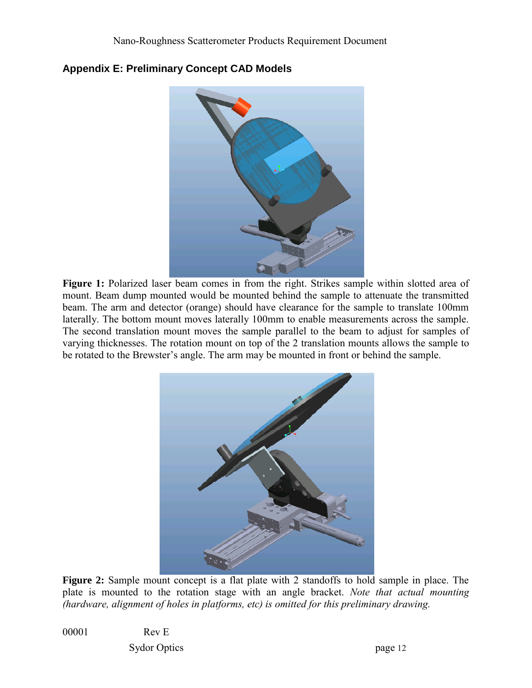

#### **Appendix E: Preliminary Concept CAD Models**

Figure 1: Polarized laser beam comes in from the right. Strikes sample within slotted area of mount. Beam dump mounted would be mounted behind the sample to attenuate the transmitted beam. The arm and detector (orange) should have clearance for the sample to translate 100mm laterally. The bottom mount moves laterally 100mm to enable measurements across the sample. The second translation mount moves the sample parallel to the beam to adjust for samples of varying thicknesses. The rotation mount on top of the 2 translation mounts allows the sample to be rotated to the Brewster's angle. The arm may be mounted in front or behind the sample.



**Figure 2:** Sample mount concept is a flat plate with 2 standoffs to hold sample in place. The plate is mounted to the rotation stage with an angle bracket. *Note that actual mounting (hardware, alignment of holes in platforms, etc) is omitted for this preliminary drawing.*

00001 Rev E Sydor Optics page 12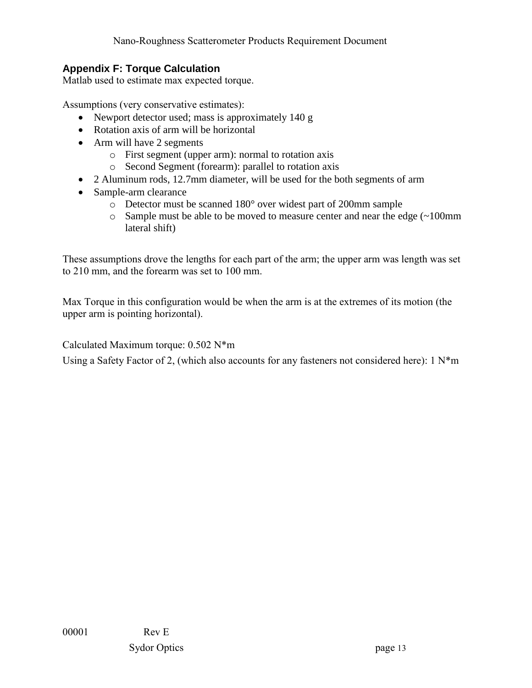#### **Appendix F: Torque Calculation**

Matlab used to estimate max expected torque.

Assumptions (very conservative estimates):

- Newport detector used; mass is approximately 140 g
- Rotation axis of arm will be horizontal
- Arm will have 2 segments
	- o First segment (upper arm): normal to rotation axis
	- o Second Segment (forearm): parallel to rotation axis
- 2 Aluminum rods, 12.7mm diameter, will be used for the both segments of arm
- Sample-arm clearance
	- o Detector must be scanned 180° over widest part of 200mm sample
	- o Sample must be able to be moved to measure center and near the edge (~100mm lateral shift)

These assumptions drove the lengths for each part of the arm; the upper arm was length was set to 210 mm, and the forearm was set to 100 mm.

Max Torque in this configuration would be when the arm is at the extremes of its motion (the upper arm is pointing horizontal).

Calculated Maximum torque: 0.502 N\*m

Using a Safety Factor of 2, (which also accounts for any fasteners not considered here): 1 N\*m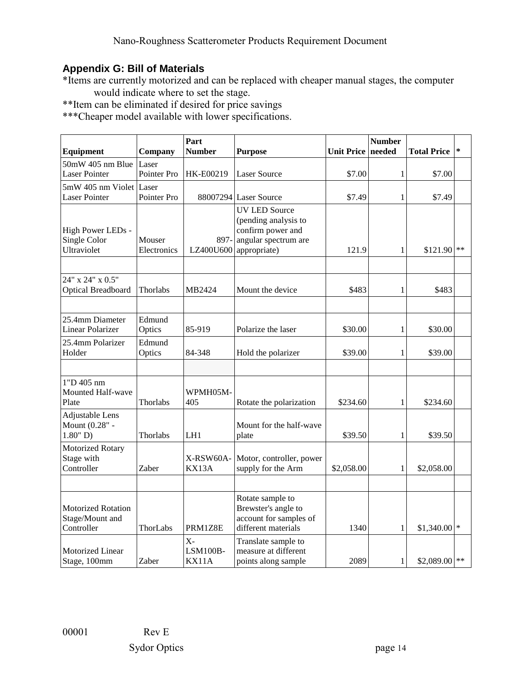## **Appendix G: Bill of Materials**

\*Items are currently motorized and can be replaced with cheaper manual stages, the computer would indicate where to set the stage.

\*\*Item can be eliminated if desired for price savings

\*\*\*Cheaper model available with lower specifications.

| Equipment                                           | Company               | Part<br><b>Number</b>      | <b>Purpose</b>                                                                                                        | <b>Unit Price</b> | <b>Number</b><br>needed | <b>Total Price</b> | ∗ |
|-----------------------------------------------------|-----------------------|----------------------------|-----------------------------------------------------------------------------------------------------------------------|-------------------|-------------------------|--------------------|---|
| 50mW 405 nm Blue<br><b>Laser Pointer</b>            | Laser<br>Pointer Pro  | HK-E00219                  | <b>Laser Source</b>                                                                                                   | \$7.00            | 1                       | \$7.00             |   |
| 5mW 405 nm Violet Laser<br><b>Laser Pointer</b>     | Pointer Pro           |                            | 88007294 Laser Source                                                                                                 | \$7.49            | 1                       | \$7.49             |   |
| High Power LEDs -<br>Single Color<br>Ultraviolet    | Mouser<br>Electronics | 897-                       | <b>UV LED Source</b><br>(pending analysis to<br>confirm power and<br>angular spectrum are<br>$LZ400U600$ appropriate) | 121.9             | 1                       | $$121.90$ **       |   |
| 24" x 24" x 0.5"<br>Optical Breadboard              | Thorlabs              | MB2424                     | Mount the device                                                                                                      | \$483             | 1                       | \$483              |   |
| 25.4mm Diameter<br><b>Linear Polarizer</b>          | Edmund<br>Optics      | 85-919                     | Polarize the laser                                                                                                    | \$30.00           | 1                       | \$30.00            |   |
| 25.4mm Polarizer<br>Holder                          | Edmund<br>Optics      | 84-348                     | Hold the polarizer                                                                                                    | \$39.00           | 1                       | \$39.00            |   |
| 1"D 405 nm<br>Mounted Half-wave<br>Plate            | Thorlabs              | WPMH05M-<br>405            | Rotate the polarization                                                                                               | \$234.60          | $\mathbf{1}$            | \$234.60           |   |
| Adjustable Lens<br>Mount (0.28" -<br>$1.80"$ D)     | Thorlabs              | LH1                        | Mount for the half-wave<br>plate                                                                                      | \$39.50           | 1                       | \$39.50            |   |
| Motorized Rotary<br>Stage with<br>Controller        | Zaber                 | X-RSW60A-<br>KX13A         | Motor, controller, power<br>supply for the Arm                                                                        | \$2,058.00        | 1                       | \$2,058.00         |   |
| Motorized Rotation<br>Stage/Mount and<br>Controller | ThorLabs              | PRM1Z8E                    | Rotate sample to<br>Brewster's angle to<br>account for samples of<br>different materials                              | 1340              | 1                       | $$1,340.00$ *      |   |
| Motorized Linear<br>Stage, 100mm                    | Zaber                 | $X -$<br>LSM100B-<br>KX11A | Translate sample to<br>measure at different<br>points along sample                                                    | 2089              | 1                       | $$2,089.00$ **     |   |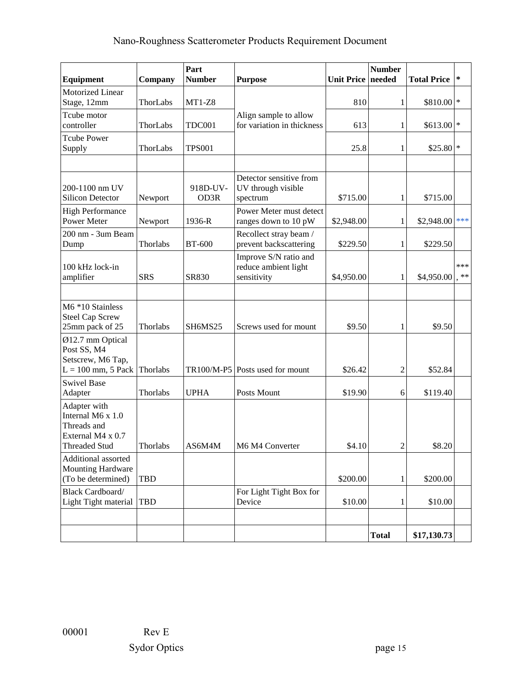# Nano-Roughness Scatterometer Products Requirement Document

| Equipment                                                                                     | Company    | Part<br><b>Number</b>            | <b>Purpose</b>                                               | <b>Unit Price needed</b> | <b>Number</b>  | <b>Total Price</b> | $\ast$       |
|-----------------------------------------------------------------------------------------------|------------|----------------------------------|--------------------------------------------------------------|--------------------------|----------------|--------------------|--------------|
| Motorized Linear<br>Stage, 12mm                                                               | ThorLabs   | $MT1-Z8$                         |                                                              | 810                      | 1              | \$810.00 *         |              |
| Tcube motor<br>controller                                                                     | ThorLabs   | <b>TDC001</b>                    | Align sample to allow<br>for variation in thickness          | 613                      | 1              | $$613.00$ *        |              |
| <b>Tcube Power</b><br>Supply                                                                  | ThorLabs   | <b>TPS001</b>                    |                                                              | 25.8                     | 1              | $$25.80$ *         |              |
|                                                                                               |            |                                  | Detector sensitive from                                      |                          |                |                    |              |
| 200-1100 nm UV<br><b>Silicon Detector</b>                                                     | Newport    | 918D-UV-<br>OD3R                 | UV through visible<br>spectrum                               | \$715.00                 | $\mathbf{1}$   | \$715.00           |              |
| <b>High Performance</b><br><b>Power Meter</b>                                                 | Newport    | 1936-R                           | Power Meter must detect<br>ranges down to 10 pW              | \$2,948.00               | 1              | \$2,948.00         | ***          |
| 200 nm - 3um Beam<br>Dump                                                                     | Thorlabs   | <b>BT-600</b>                    | Recollect stray beam /<br>prevent backscattering             | \$229.50                 | 1              | \$229.50           |              |
| 100 kHz lock-in<br>amplifier                                                                  | <b>SRS</b> | SR830                            | Improve S/N ratio and<br>reduce ambient light<br>sensitivity | \$4,950.00               | 1              | \$4,950.00         | ***<br>$***$ |
| M6 *10 Stainless<br><b>Steel Cap Screw</b><br>25mm pack of 25                                 | Thorlabs   | SH <sub>6</sub> MS <sub>25</sub> | Screws used for mount                                        | \$9.50                   | 1              | \$9.50             |              |
| Ø12.7 mm Optical<br>Post SS, M4<br>Setscrew, M6 Tap,<br>$L = 100$ mm, 5 Pack                  | Thorlabs   |                                  | TR100/M-P5 Posts used for mount                              | \$26.42                  | 2              | \$52.84            |              |
| <b>Swivel Base</b><br>Adapter                                                                 | Thorlabs   | <b>UPHA</b>                      | Posts Mount                                                  | \$19.90                  | 6              | \$119.40           |              |
| Adapter with<br>Internal M6 x 1.0<br>Threads and<br>External M4 x 0.7<br><b>Threaded Stud</b> | Thorlabs   | AS6M4M                           | M6 M4 Converter                                              | \$4.10                   | $\overline{2}$ | \$8.20             |              |
| Additional assorted<br><b>Mounting Hardware</b><br>(To be determined)                         | <b>TBD</b> |                                  |                                                              | \$200.00                 | $\mathbf{1}$   | \$200.00           |              |
| <b>Black Cardboard/</b><br>Light Tight material                                               | <b>TBD</b> |                                  | For Light Tight Box for<br>Device                            | \$10.00                  | $\mathbf{1}$   | \$10.00            |              |
|                                                                                               |            |                                  |                                                              |                          |                |                    |              |
|                                                                                               |            |                                  |                                                              |                          | <b>Total</b>   | \$17,130.73        |              |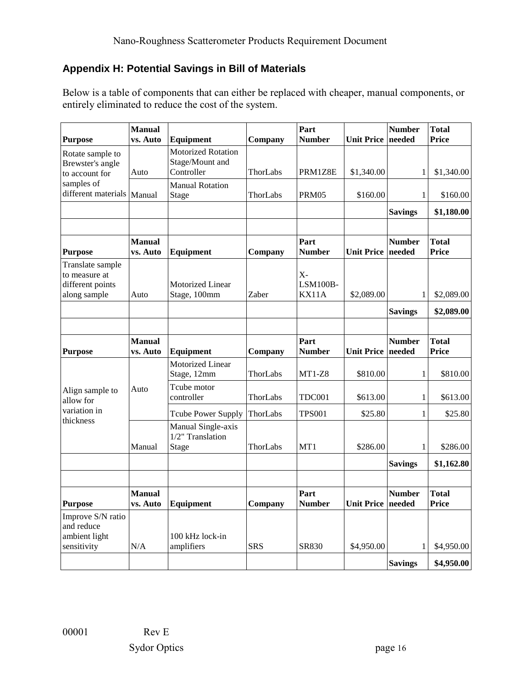## **Appendix H: Potential Savings in Bill of Materials**

Below is a table of components that can either be replaced with cheaper, manual components, or entirely eliminated to reduce the cost of the system.

| <b>Purpose</b>                                                        | <b>Manual</b><br>vs. Auto | Equipment                                                  | Company              | Part<br><b>Number</b>      | Unit Price   needed | <b>Number</b>           | <b>Total</b><br>Price        |
|-----------------------------------------------------------------------|---------------------------|------------------------------------------------------------|----------------------|----------------------------|---------------------|-------------------------|------------------------------|
| Rotate sample to<br>Brewster's angle<br>to account for                | Auto                      | <b>Motorized Rotation</b><br>Stage/Mount and<br>Controller | ThorLabs             | PRM1Z8E                    | \$1,340.00          | 1                       | \$1,340.00                   |
| samples of<br>different materials                                     | Manual                    | <b>Manual Rotation</b><br>Stage                            | ThorLabs             | PRM05                      | \$160.00            | $\mathbf{1}$            | \$160.00                     |
|                                                                       |                           |                                                            |                      |                            |                     | <b>Savings</b>          | \$1,180.00                   |
| <b>Purpose</b>                                                        | <b>Manual</b><br>vs. Auto | Equipment                                                  | Company              | Part<br><b>Number</b>      | Unit Price needed   | <b>Number</b>           | <b>Total</b><br><b>Price</b> |
| Translate sample<br>to measure at<br>different points<br>along sample | Auto                      | <b>Motorized Linear</b><br>Stage, 100mm                    | Zaber                | $X -$<br>LSM100B-<br>KX11A | \$2,089.00          | 1                       | \$2,089.00                   |
|                                                                       |                           |                                                            |                      |                            |                     | <b>Savings</b>          | \$2,089.00                   |
| <b>Purpose</b>                                                        | <b>Manual</b><br>vs. Auto | Equipment                                                  | Company              | Part<br><b>Number</b>      | Unit Price   needed | <b>Number</b>           | <b>Total</b><br><b>Price</b> |
| Align sample to                                                       | Auto                      | Motorized Linear<br>Stage, 12mm<br>Tcube motor             | ThorLabs             | $MT1-Z8$                   | \$810.00            | $\mathbf{1}$            | \$810.00                     |
| allow for<br>variation in                                             |                           | controller<br>Tcube Power Supply                           | ThorLabs<br>ThorLabs | TDC001<br><b>TPS001</b>    | \$613.00<br>\$25.80 | $\mathbf{1}$<br>1       | \$613.00<br>\$25.80          |
| thickness                                                             | Manual                    | Manual Single-axis<br>1/2" Translation<br>Stage            | ThorLabs             | MT1                        | \$286.00            | $\mathbf{1}$            | \$286.00                     |
|                                                                       |                           |                                                            |                      |                            |                     | <b>Savings</b>          | \$1,162.80                   |
| <b>Purpose</b>                                                        | <b>Manual</b><br>vs. Auto | <b>Equipment</b>                                           | Company              | Part<br><b>Number</b>      | <b>Unit Price</b>   | <b>Number</b><br>needed | <b>Total</b><br>Price        |
| Improve S/N ratio<br>and reduce<br>ambient light<br>sensitivity       | N/A                       | 100 kHz lock-in<br>amplifiers                              | <b>SRS</b>           | SR830                      | \$4,950.00          | $\mathbf{1}$            | \$4,950.00                   |
|                                                                       |                           |                                                            |                      |                            |                     | <b>Savings</b>          | \$4,950.00                   |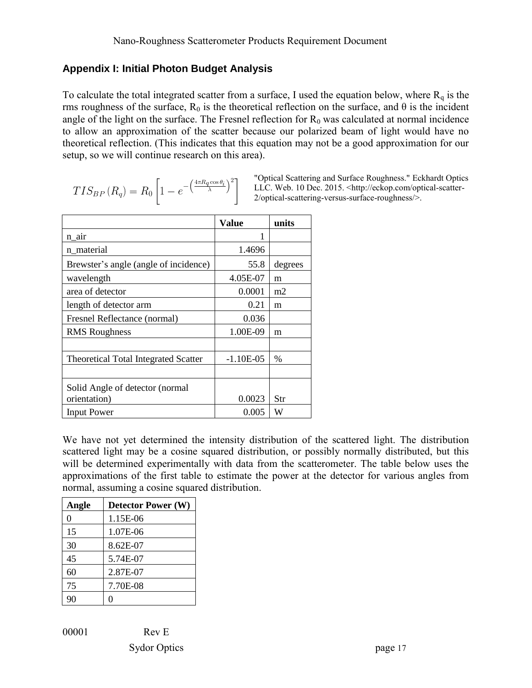#### **Appendix I: Initial Photon Budget Analysis**

To calculate the total integrated scatter from a surface, I used the equation below, where  $R_q$  is the rms roughness of the surface,  $R_0$  is the theoretical reflection on the surface, and  $\theta$  is the incident angle of the light on the surface. The Fresnel reflection for  $R_0$  was calculated at normal incidence to allow an approximation of the scatter because our polarized beam of light would have no theoretical reflection. (This indicates that this equation may not be a good approximation for our setup, so we will continue research on this area).

$$
TIS_{BP}(R_q) = R_0 \left[ 1 - e^{-\left(\frac{4\pi R_q \cos \theta_i}{\lambda}\right)^2} \right]
$$

"Optical Scattering and Surface Roughness." Eckhardt Optics LLC. Web. 10 Dec. 2015. [<http://eckop.com/optical-scatter-](http://eckop.com/optical-scatter-2/optical-scattering-versus-surface-roughness/)[2/optical-scattering-versus-surface-roughness/>](http://eckop.com/optical-scatter-2/optical-scattering-versus-surface-roughness/).

|                                             | Value       | units   |
|---------------------------------------------|-------------|---------|
| n_air                                       |             |         |
| n material                                  | 1.4696      |         |
| Brewster's angle (angle of incidence)       | 55.8        | degrees |
| wavelength                                  | 4.05E-07    | m       |
| area of detector                            | 0.0001      | m2      |
| length of detector arm                      | 0.21        | m       |
| Fresnel Reflectance (normal)                | 0.036       |         |
| <b>RMS</b> Roughness                        | 1.00E-09    | m       |
|                                             |             |         |
| <b>Theoretical Total Integrated Scatter</b> | $-1.10E-05$ | $\%$    |
|                                             |             |         |
| Solid Angle of detector (normal             |             |         |
| orientation)                                | 0.0023      | Str     |
| <b>Input Power</b>                          | 0.005       | W       |

We have not yet determined the intensity distribution of the scattered light. The distribution scattered light may be a cosine squared distribution, or possibly normally distributed, but this will be determined experimentally with data from the scatterometer. The table below uses the approximations of the first table to estimate the power at the detector for various angles from normal, assuming a cosine squared distribution.

| Angle | <b>Detector Power (W)</b> |
|-------|---------------------------|
| 0     | 1.15E-06                  |
| 15    | 1.07E-06                  |
| 30    | 8.62E-07                  |
| 45    | 5.74E-07                  |
| 60    | 2.87E-07                  |
| 75    | 7.70E-08                  |
|       |                           |